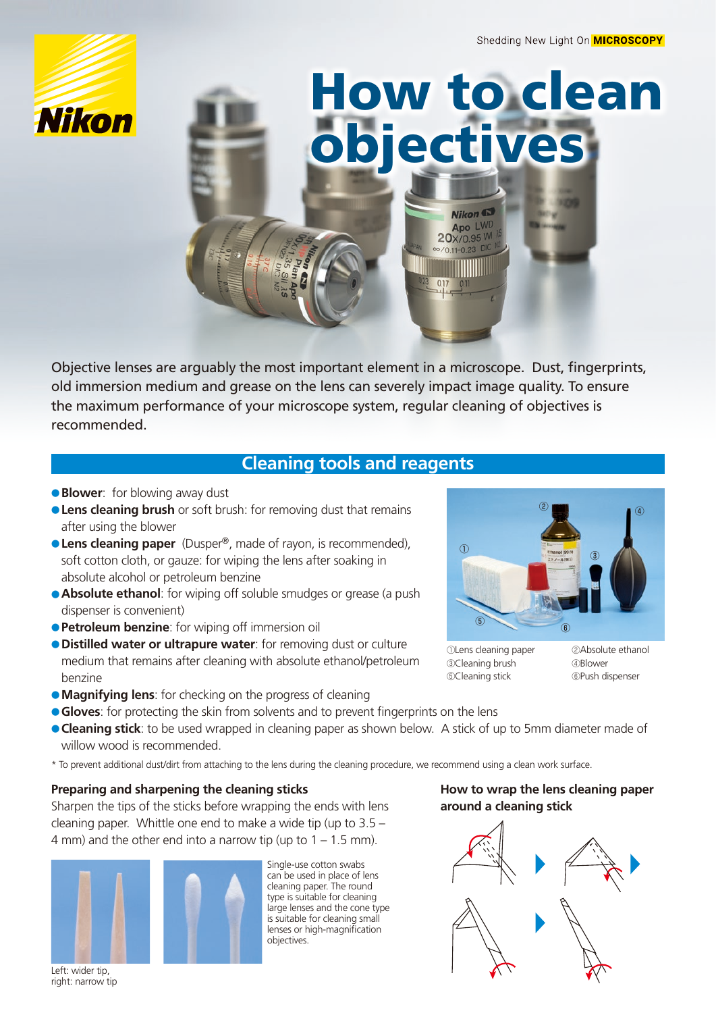



Objective lenses are arguably the most important element in a microscope. Dust, fingerprints, old immersion medium and grease on the lens can severely impact image quality. To ensure the maximum performance of your microscope system, regular cleaning of objectives is .recommended

# **Cleaning tools and reagents**

- **e Blower:** for blowing away dust
- **e Lens cleaning brush** or soft brush: for removing dust that remains after using the blower
- **Lens cleaning paper** (Dusper<sup>®</sup>, made of rayon, is recommended), soft cotton cloth, or gauze: for wiping the lens after soaking in absolute alcohol or petroleum benzine
- **Absolute ethanol**: for wiping off soluble smudges or grease (a push dispenser is convenient)
- **Petroleum benzine:** for wiping off immersion oil
- **.** Distilled water or ultrapure water: for removing dust or culture medium that remains after cleaning with absolute ethanol/petroleum benzine
- **e Magnifying lens**: for checking on the progress of cleaning
- **e Gloves:** for protecting the skin from solvents and to prevent fingerprints on the lens
- **Cleaning stick**: to be used wrapped in cleaning paper as shown below. A stick of up to 5mm diameter made of willow wood is recommended.
- \* To prevent additional dust/dirt from attaching to the lens during the cleaning procedure, we recommend using a clean work surface.

### **Preparing and sharpening the cleaning sticks**

Sharpen the tips of the sticks before wrapping the ends with lens cleaning paper. Whittle one end to make a wide tip (up to  $3.5 -$ 4 mm) and the other end into a narrow tip (up to  $1 - 1.5$  mm).



Left: wider tip, right: narrow tip



Single-use cotton swabs can be used in place of lens cleaning paper. The round type is suitable for cleaning large lenses and the cone type is suitable for cleaning small lenses or high-magnification .objectives

### **How to wrap the lens cleaning paper** around a cleaning stick





①Lens cleaning paper ②Absolute ethanol **3**Cleaning brush **CLEANING** @Blower **6**Cleaning stick **COPush dispenser**